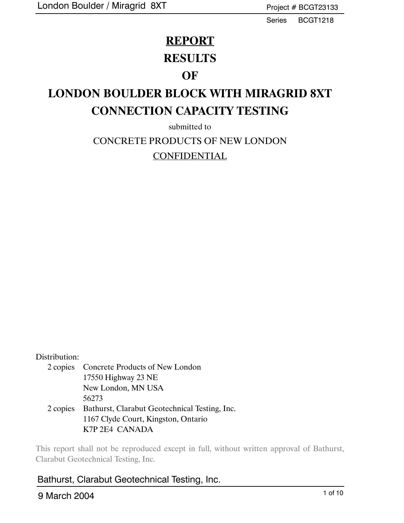Series BCGT1218

### **REPORT**

### **RESULTS**

### **OF**

# **LONDON BOULDER BLOCK WITH MIRAGRID 8XT CONNECTION CAPACITY TESTING**

submitted to CONCRETE PRODUCTS OF NEW LONDON CONFIDENTIAL

#### Distribution:

2 copies Concrete Products of New London 17550 Highway 23 NE New London, MN USA 56273 2 copies Bathurst, Clarabut Geotechnical Testing, Inc. 1167 Clyde Court, Kingston, Ontario K7P 2E4 CANADA

This report shall not be reproduced except in full, without written approval of Bathurst, Clarabut Geotechnical Testing, Inc.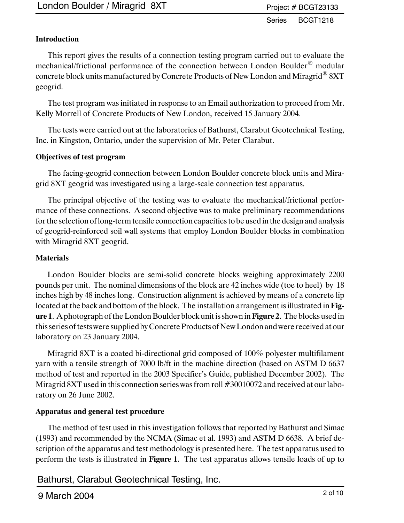#### **Introduction**

This report gives the results of a connection testing program carried out to evaluate the mechanical/frictional performance of the connection between London Boulder<sup>®</sup> modular concrete block units manufactured by Concrete Products of New London and Miragrid $^{\circledR}$  8XT geogrid.

The test program was initiated in response to an Email authorization to proceed from Mr. Kelly Morrell of Concrete Products of New London, received 15 January 2004*.*

The tests were carried out at the laboratories of Bathurst, Clarabut Geotechnical Testing, Inc. in Kingston, Ontario, under the supervision of Mr. Peter Clarabut.

#### **Objectives of test program**

The facing-geogrid connection between London Boulder concrete block units and Miragrid 8XT geogrid was investigated using a large-scale connection test apparatus.

The principal objective of the testing was to evaluate the mechanical/frictional performance of these connections. A second objective was to make preliminary recommendations for the selection of long-term tensile connection capacities to be used in the design and analysis of geogrid-reinforced soil wall systems that employ London Boulder blocks in combination with Miragrid 8XT geogrid.

#### **Materials**

London Boulder blocks are semi-solid concrete blocks weighing approximately 2200 pounds per unit. The nominal dimensions of the block are 42 inches wide (toe to heel) by 18 inches high by 48 inches long. Construction alignment is achieved by means of a concrete lip located at the back and bottom of the block. The installation arrangement is illustrated in **Figure 1**. A photograph of the London Boulder block unit is shown in**Figure 2**. The blocks used in this series of testswere supplied by Concrete Products of New London and were received at our laboratory on 23 January 2004.

Miragrid 8XT is a coated bi-directional grid composed of 100% polyester multifilament yarn with a tensile strength of 7000 lb/ft in the machine direction (based on ASTM D 6637 method of test and reported in the 2003 Specifier's Guide, published December 2002). The Miragrid 8XT used in this connection series was from roll #30010072 and received at our laboratory on 26 June 2002.

#### **Apparatus and general test procedure**

The method of test used in this investigation follows that reported by Bathurst and Simac (1993) and recommended by the NCMA (Simac et al. 1993) and ASTM D 6638. A brief description of the apparatus and test methodology is presented here. The test apparatus used to perform the tests is illustrated in **Figure 1**. The test apparatus allows tensile loads of up to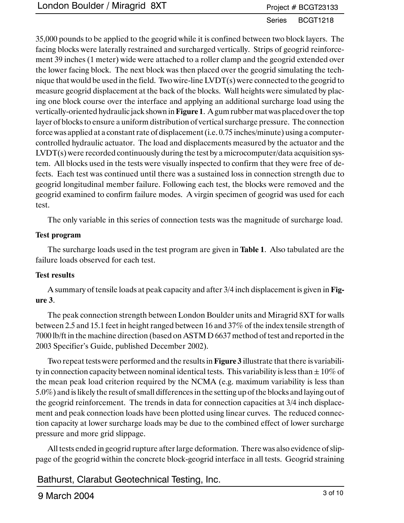#### Series BCGT1218

35,000 pounds to be applied to the geogrid while it is confined between two block layers. The facing blocks were laterally restrained and surcharged vertically. Strips of geogrid reinforcement 39 inches (1 meter) wide were attached to a roller clamp and the geogrid extended over the lower facing block. The next block was then placed over the geogrid simulating the technique that would be used in the field. Two wire-line LVDT(s) were connected to the geogrid to measure geogrid displacement at the back of the blocks. Wall heights were simulated by placing one block course over the interface and applying an additional surcharge load using the vertically-oriented hydraulic jack shown in**Figure 1**. A gum rubber mat was placed over the top layer of blocks to ensure a uniform distribution of vertical surcharge pressure. The connection force was applied at a constant rate of displacement (i.e. 0.75 inches/minute) using a computercontrolled hydraulic actuator. The load and displacements measured by the actuator and the LVDT(s) were recorded continuously during the test by a microcomputer/data acquisition system. All blocks used in the tests were visually inspected to confirm that they were free of defects. Each test was continued until there was a sustained loss in connection strength due to geogrid longitudinal member failure. Following each test, the blocks were removed and the geogrid examined to confirm failure modes. A virgin specimen of geogrid was used for each test.

The only variable in this series of connection tests was the magnitude of surcharge load.

#### **Test program**

The surcharge loads used in the test program are given in **Table 1**. Also tabulated are the failure loads observed for each test.

#### **Test results**

A summary of tensile loads at peak capacity and after 3/4 inch displacement is given in **Figure 3**.

The peak connection strength between London Boulder units and Miragrid 8XT for walls between 2.5 and 15.1 feet in height ranged between 16 and 37% of the index tensile strength of 7000 lb/ft in the machine direction (based on ASTM D 6637 method of test and reported in the 2003 Specifier's Guide, published December 2002).

Two repeat tests were performed and the results in **Figure 3** illustrate that there is variability in connection capacity between nominal identical tests. This variability is less than  $\pm 10\%$  of the mean peak load criterion required by the NCMA (e.g. maximum variability is less than 5.0%) and is likely the result of small differences in the setting up of the blocks and laying out of the geogrid reinforcement. The trends in data for connection capacities at 3/4 inch displacement and peak connection loads have been plotted using linear curves. The reduced connection capacity at lower surcharge loads may be due to the combined effect of lower surcharge pressure and more grid slippage.

All tests ended in geogrid rupture after large deformation. There was also evidence of slippage of the geogrid within the concrete block-geogrid interface in all tests. Geogrid straining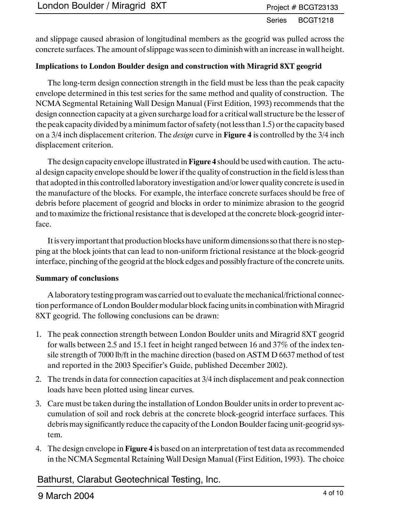and slippage caused abrasion of longitudinal members as the geogrid was pulled across the concrete surfaces. The amount of slippage was seen to diminish with an increase in wall height.

#### **Implications to London Boulder design and construction with Miragrid 8XT geogrid**

The long-term design connection strength in the field must be less than the peak capacity envelope determined in this test series for the same method and quality of construction. The NCMA Segmental Retaining Wall Design Manual (First Edition, 1993) recommends that the design connection capacity at a given surcharge load for a critical wall structure be the lesser of the peak capacity divided by a minimum factor of safety (not less than 1.5) or the capacity based on a 3/4 inch displacement criterion. The *design* curve in **Figure 4** is controlled by the 3/4 inch displacement criterion.

The design capacity envelope illustrated in **Figure 4** should be used with caution. The actual design capacity envelope should be lower if the quality of construction in the field is less than that adopted in this controlled laboratory investigation and/or lower quality concrete is used in the manufacture of the blocks. For example, the interface concrete surfaces should be free of debris before placement of geogrid and blocks in order to minimize abrasion to the geogrid and to maximize the frictional resistance that is developed at the concrete block-geogrid interface.

Itis very important that production blocks have uniform dimensions so that there is no stepping at the block joints that can lead to non-uniform frictional resistance at the block-geogrid interface, pinching of the geogrid at the block edges and possibly fracture of the concrete units.

#### **Summary of conclusions**

A laboratory testing program was carried out to evaluate the mechanical/frictional connection performance of London Boulder modular block facing units in combination with Miragrid 8XT geogrid. The following conclusions can be drawn:

- 1. The peak connection strength between London Boulder units and Miragrid 8XT geogrid for walls between 2.5 and 15.1 feet in height ranged between 16 and 37% of the index tensile strength of 7000 lb/ft in the machine direction (based on ASTM D 6637 method of test and reported in the 2003 Specifier's Guide, published December 2002).
- 2. The trends in data for connection capacities at 3/4 inch displacement and peak connection loads have been plotted using linear curves.
- 3. Care must be taken during the installation of London Boulder units in order to prevent accumulation of soil and rock debris at the concrete block-geogrid interface surfaces. This debris may significantly reduce the capacity of the London Boulder facing unit-geogrid system.
- 4. The design envelope in **Figure 4** is based on an interpretation of test data as recommended in the NCMA Segmental Retaining Wall Design Manual (First Edition, 1993). The choice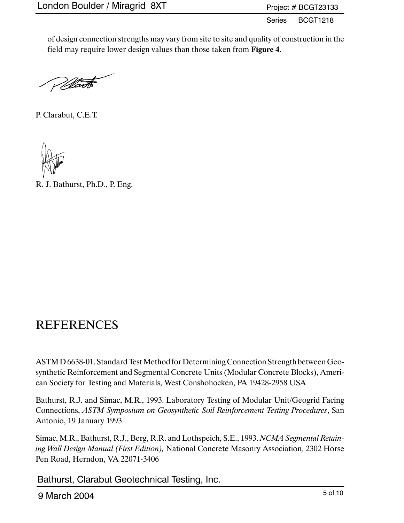Series BCGT1218

of design connection strengths may vary from site to site and quality of construction in the field may require lower design values than those taken from **Figure 4**.

Warts

P. Clarabut, C.E.T.



R. J. Bathurst, Ph.D., P. Eng.

## REFERENCES

ASTM D 6638-01. Standard Test Method for Determining Connection Strength between Geosynthetic Reinforcement and Segmental Concrete Units (Modular Concrete Blocks), American Society for Testing and Materials, West Conshohocken, PA 19428-2958 USA

Bathurst, R.J. and Simac, M.R., 1993. Laboratory Testing of Modular Unit/Geogrid Facing Connections, *ASTM Symposium on Geosynthetic Soil Reinforcement Testing Procedures*, San Antonio, 19 January 1993

Simac, M.R., Bathurst, R.J., Berg, R.R. and Lothspeich, S.E., 1993. *NCMA Segmental Retaining Wall Design Manual (First Edition),* National Concrete Masonry Association*,* 2302 Horse Pen Road, Herndon, VA 22071-3406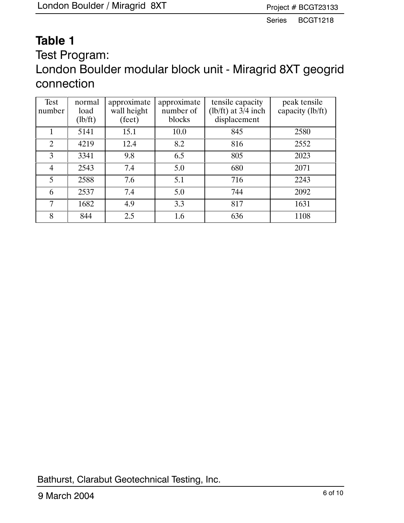# **Table 1**

Test Program: London Boulder modular block unit - Miragrid 8XT geogrid connection

| Test<br>number | normal<br>load<br>(lb/ft) | approximate<br>wall height<br>(feet) | approximate<br>number of<br>blocks | tensile capacity<br>(lb/ft) at $3/4$ inch<br>displacement | peak tensile<br>capacity (lb/ft) |
|----------------|---------------------------|--------------------------------------|------------------------------------|-----------------------------------------------------------|----------------------------------|
|                | 5141                      | 15.1                                 | 10.0                               | 845                                                       | 2580                             |
| $\overline{2}$ | 4219                      | 12.4                                 | 8.2                                | 816                                                       | 2552                             |
| 3              | 3341                      | 9.8                                  | 6.5                                | 805                                                       | 2023                             |
| $\overline{4}$ | 2543                      | 7.4                                  | 5.0                                | 680                                                       | 2071                             |
| 5              | 2588                      | 7.6                                  | 5.1                                | 716                                                       | 2243                             |
| 6              | 2537                      | 7.4                                  | 5.0                                | 744                                                       | 2092                             |
| 7              | 1682                      | 4.9                                  | 3.3                                | 817                                                       | 1631                             |
| 8              | 844                       | 2.5                                  | 1.6                                | 636                                                       | 1108                             |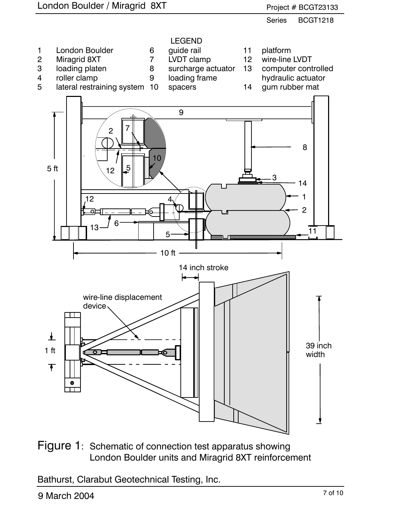

Figure 1: Schematic of connection test apparatus showing London Boulder units and Miragrid 8XT reinforcement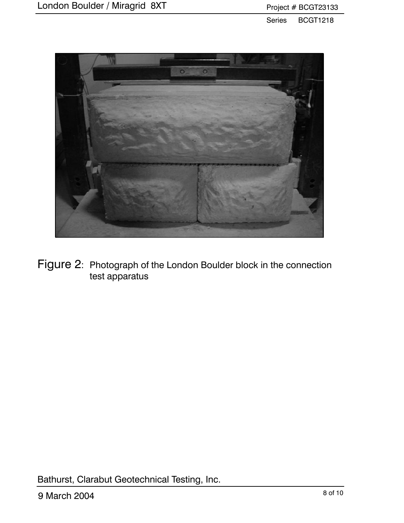

Figure 2: Photograph of the London Boulder block in the connection test apparatus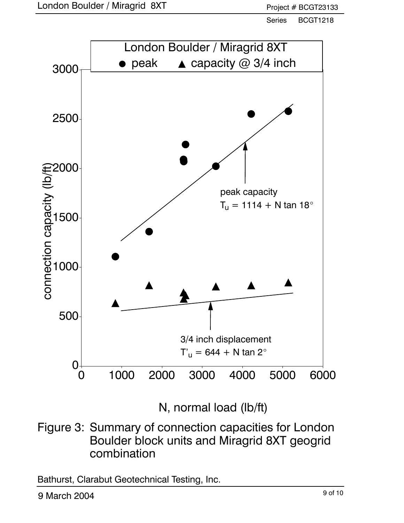

N, normal load (lb/ft)